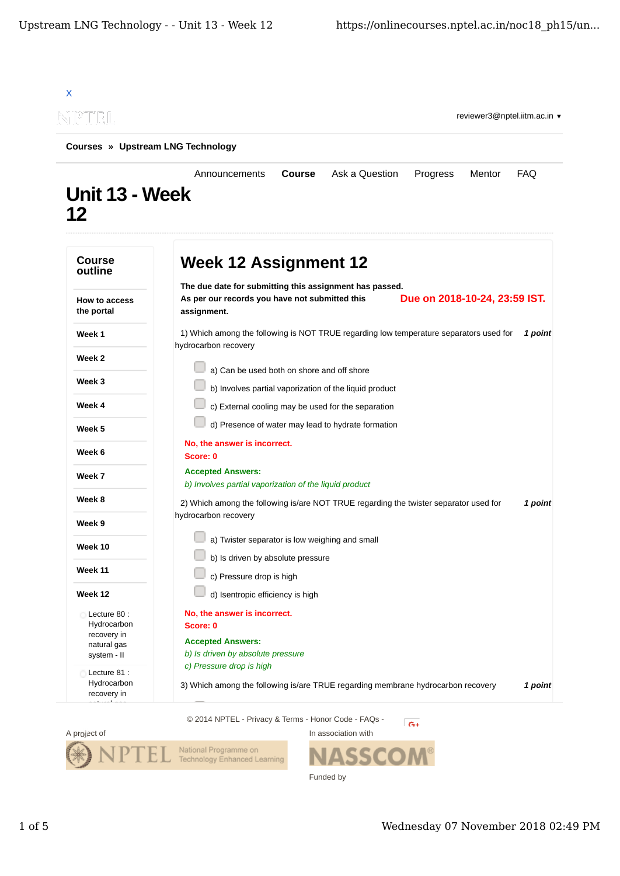|                                                                         | Courses » Upstream LNG Technology                                                                                                               |               |                                                        |                               |        |            |
|-------------------------------------------------------------------------|-------------------------------------------------------------------------------------------------------------------------------------------------|---------------|--------------------------------------------------------|-------------------------------|--------|------------|
| Unit 13 - Week<br>12                                                    | Announcements                                                                                                                                   | <b>Course</b> | Ask a Question                                         | Progress                      | Mentor | <b>FAQ</b> |
| <b>Course</b><br>outline                                                | <b>Week 12 Assignment 12</b>                                                                                                                    |               |                                                        |                               |        |            |
| <b>How to access</b><br>the portal                                      | The due date for submitting this assignment has passed.<br>As per our records you have not submitted this<br>assignment.                        |               |                                                        | Due on 2018-10-24, 23:59 IST. |        |            |
| Week 1                                                                  | 1) Which among the following is NOT TRUE regarding low temperature separators used for<br>hydrocarbon recovery                                  |               |                                                        |                               |        | 1 point    |
| Week 2                                                                  |                                                                                                                                                 |               |                                                        |                               |        |            |
| Week 3                                                                  | a) Can be used both on shore and off shore                                                                                                      |               | b) Involves partial vaporization of the liquid product |                               |        |            |
| Week 4                                                                  |                                                                                                                                                 |               | c) External cooling may be used for the separation     |                               |        |            |
| Week 5                                                                  |                                                                                                                                                 |               | d) Presence of water may lead to hydrate formation     |                               |        |            |
| Week 6                                                                  | No, the answer is incorrect.<br>Score: 0                                                                                                        |               |                                                        |                               |        |            |
| Week 7                                                                  | <b>Accepted Answers:</b>                                                                                                                        |               |                                                        |                               |        |            |
| Week 8                                                                  | b) Involves partial vaporization of the liquid product<br>2) Which among the following is/are NOT TRUE regarding the twister separator used for |               |                                                        |                               |        | 1 point    |
| Week 9                                                                  | hydrocarbon recovery                                                                                                                            |               |                                                        |                               |        |            |
| Week 10                                                                 | a) Twister separator is low weighing and small                                                                                                  |               |                                                        |                               |        |            |
| Week 11                                                                 | b) Is driven by absolute pressure                                                                                                               |               |                                                        |                               |        |            |
| Week 12                                                                 | c) Pressure drop is high<br>d) Isentropic efficiency is high                                                                                    |               |                                                        |                               |        |            |
| Lecture 80:<br>Hydrocarbon<br>recovery in<br>natural gas<br>system - II | No, the answer is incorrect.<br>Score: 0<br><b>Accepted Answers:</b><br>b) Is driven by absolute pressure                                       |               |                                                        |                               |        |            |
| Lecture 81 :<br>Hydrocarbon<br>recovery in                              | c) Pressure drop is high<br>3) Which among the following is/are TRUE regarding membrane hydrocarbon recovery                                    |               |                                                        |                               |        | 1 point    |



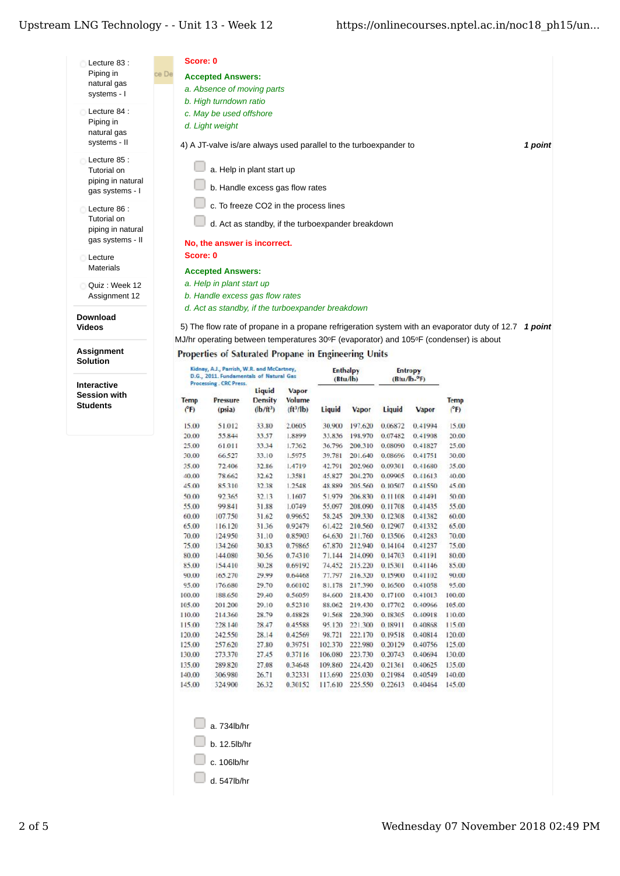## Upstream LNG Technology - - Unit 13 - Week 12

Interactive **Session with Students** 

| Lecture 83:                                                         | Score: 0                                                                                                                                                                                                                                               |
|---------------------------------------------------------------------|--------------------------------------------------------------------------------------------------------------------------------------------------------------------------------------------------------------------------------------------------------|
| Piping in<br>natural gas<br>systems - I                             | ce De<br><b>Accepted Answers:</b><br>a. Absence of moving parts<br>b. High turndown ratio                                                                                                                                                              |
| Lecture 84 :<br>Piping in<br>natural gas<br>systems - II            | c. May be used offshore<br>d. Light weight<br>4) A JT-valve is/are always used parallel to the turboexpander to<br>1 point                                                                                                                             |
| Lecture 85:<br>Tutorial on<br>piping in natural<br>gas systems - I  | a. Help in plant start up<br>b. Handle excess gas flow rates                                                                                                                                                                                           |
| Lecture 86:<br>Tutorial on<br>piping in natural<br>gas systems - II | c. To freeze CO2 in the process lines<br>d. Act as standby, if the turboexpander breakdown<br>No, the answer is incorrect.                                                                                                                             |
| Lecture<br><b>Materials</b>                                         | Score: 0<br><b>Accepted Answers:</b>                                                                                                                                                                                                                   |
| Ouiz: Week 12<br>Assignment 12                                      | a. Help in plant start up<br>b. Handle excess gas flow rates                                                                                                                                                                                           |
| <b>Download</b><br><b>Videos</b>                                    | d. Act as standby, if the turboexpander breakdown<br>5) The flow rate of propane in a propane refrigeration system with an evaporator duty of 12.7<br>1 point<br>MJ/hr operating between temperatures 30°F (evaporator) and 105°F (condenser) is about |
| Assignment<br><b>Solution</b>                                       | Properties of Saturated Propane in Engineering Units<br>Kidnay, A.J., Parrish, W.R. and McCartney.<br>Enthalms<br>Entennis                                                                                                                             |

| Liquid<br>Vapor<br><b>Density</b><br><b>Volume</b><br>Temp<br>Pressure<br><b>Temp</b><br>$(b/tt3)$<br>$(ft^3/lb)$<br>(PF)<br>(PF)<br>(psia)<br>Liquid<br>Liquid<br>Vapor<br>Vapor<br>197.620<br>0.06872<br>15.00<br>51.012<br>33.80<br>2.0605<br>30.900<br>0.41994<br>20.00<br>55.844<br>33.57<br>1.8899<br>33.836<br>198,970<br>0.07482<br>0.41908<br>25.00<br>61.011<br>33.34<br>1.7362<br>36.796<br>200.310<br>0.08090<br>0.41827<br>33.10<br>1.5975<br>201.640<br>0.08696<br>30.00<br>66.527<br>39.781<br>0.41751<br>35.00<br>72.406<br>32.86<br>1.4719<br>42.791<br>202,960<br>0.09301<br>0.41680<br>32.62<br>204,270<br>0.41613<br>40.00<br>78.662<br>1.3581<br>45.827<br>0.09905<br>45.00<br>85.310<br>32.38<br>1.2548<br>48.889<br>205,560<br>0.10507<br>0.41550<br>50.00<br>92365<br>32.13<br>1.1607<br>51.979<br>206.830<br>0.11108<br>0.41491<br>55.097<br>55.00<br>99.841<br>31.88<br>1.0749<br>208,090<br>0.11708<br>0.41435<br>60.00<br>107.750<br>0.99652<br>58.245<br>31.62<br>209,330<br>0.12308<br>0.41382<br>65.00<br>116.120<br>31.36<br>0.92479<br>61.422<br>210,560<br>0.12907<br>0.41332<br>70.00<br>211.760<br>124.950<br>31.10<br>0.85903<br>64.630<br>0.13506<br>0.41283<br>75.00<br>134.260<br>212,940<br>0.14104<br>0.41237<br>30.83<br>0.79865<br>67.870<br>80.00<br>144.080<br>30.56<br>0.74310<br>71.144<br>214.090<br>0.14703<br>0.41191<br>85.00<br>154.410<br>30.28<br>0.69192<br>74.452<br>215,220<br>0.15301<br>0.41146<br>90.00<br>216.320<br>0.15900<br>0.41102<br>165,270<br>29.99<br>0.64468<br>71.797<br>95.00<br>176.680<br>29.70<br>0.60102<br>81.178<br>217.390<br>0.16500<br>0.41058<br>29.40<br>0.56059<br>0.17100<br>100.00<br>100.00<br>188,650<br>84.600<br>218,430<br>0.41013<br>105.00<br>201.200<br>29.10<br>0.52310<br>219.430<br>0.40966<br>105.00<br>88.062<br>0.17702<br>110.00<br>214360<br>28.79<br>0.48828<br>91.568<br>220.390<br>0.40918<br>110.00<br>0.18305<br>115.00<br>228.140<br>28.47<br>0.45588<br>95.120<br>221.300<br>0.18911<br>0.40868<br>115.00<br>120.00<br>242,550<br>28.14<br>0.42569<br>98.721<br>222.170<br>0.40814<br>0.19518<br>125.00<br>125.00<br>257.620<br>27.80<br>0.39751<br>102.370<br>222,980<br>0.20129<br>0.40756<br>130.00<br>130.00<br>273.370<br>27.45<br>0.37116<br>106,080<br>223,730<br>0.20743<br>0.40694<br>135.00<br>135.00<br>27.08<br>0.34648<br>109.860<br>224.420<br>0.21361<br>0.40625<br>289.820<br>140.00<br>306.980<br>26.71<br>0.32331<br>113.690<br>225,030<br>0.21984<br>0.40549<br>145.00<br>0.30152<br>117.610<br>225.550<br>0.22613<br>0.40464<br>145.00<br>324.900<br>26.32 | Kidnay, A.J., Parrish, W.R. and McCartney,<br>D.G., 2011. Fundamentals of Natural Gas<br>Processing . CRC Press. |  | <b>Enthalpy</b><br>(Btu/lb) |  | Entropy<br>(Btu/b. <sup>o</sup> F) |  |        |
|-----------------------------------------------------------------------------------------------------------------------------------------------------------------------------------------------------------------------------------------------------------------------------------------------------------------------------------------------------------------------------------------------------------------------------------------------------------------------------------------------------------------------------------------------------------------------------------------------------------------------------------------------------------------------------------------------------------------------------------------------------------------------------------------------------------------------------------------------------------------------------------------------------------------------------------------------------------------------------------------------------------------------------------------------------------------------------------------------------------------------------------------------------------------------------------------------------------------------------------------------------------------------------------------------------------------------------------------------------------------------------------------------------------------------------------------------------------------------------------------------------------------------------------------------------------------------------------------------------------------------------------------------------------------------------------------------------------------------------------------------------------------------------------------------------------------------------------------------------------------------------------------------------------------------------------------------------------------------------------------------------------------------------------------------------------------------------------------------------------------------------------------------------------------------------------------------------------------------------------------------------------------------------------------------------------------------------------------------------------------------------------------------------------------------------------------------------------------------------------------------------------------------------------------------------------------------------------------------|------------------------------------------------------------------------------------------------------------------|--|-----------------------------|--|------------------------------------|--|--------|
|                                                                                                                                                                                                                                                                                                                                                                                                                                                                                                                                                                                                                                                                                                                                                                                                                                                                                                                                                                                                                                                                                                                                                                                                                                                                                                                                                                                                                                                                                                                                                                                                                                                                                                                                                                                                                                                                                                                                                                                                                                                                                                                                                                                                                                                                                                                                                                                                                                                                                                                                                                                               |                                                                                                                  |  |                             |  |                                    |  |        |
|                                                                                                                                                                                                                                                                                                                                                                                                                                                                                                                                                                                                                                                                                                                                                                                                                                                                                                                                                                                                                                                                                                                                                                                                                                                                                                                                                                                                                                                                                                                                                                                                                                                                                                                                                                                                                                                                                                                                                                                                                                                                                                                                                                                                                                                                                                                                                                                                                                                                                                                                                                                               |                                                                                                                  |  |                             |  |                                    |  | 15.00  |
|                                                                                                                                                                                                                                                                                                                                                                                                                                                                                                                                                                                                                                                                                                                                                                                                                                                                                                                                                                                                                                                                                                                                                                                                                                                                                                                                                                                                                                                                                                                                                                                                                                                                                                                                                                                                                                                                                                                                                                                                                                                                                                                                                                                                                                                                                                                                                                                                                                                                                                                                                                                               |                                                                                                                  |  |                             |  |                                    |  | 20.00  |
|                                                                                                                                                                                                                                                                                                                                                                                                                                                                                                                                                                                                                                                                                                                                                                                                                                                                                                                                                                                                                                                                                                                                                                                                                                                                                                                                                                                                                                                                                                                                                                                                                                                                                                                                                                                                                                                                                                                                                                                                                                                                                                                                                                                                                                                                                                                                                                                                                                                                                                                                                                                               |                                                                                                                  |  |                             |  |                                    |  | 25.00  |
|                                                                                                                                                                                                                                                                                                                                                                                                                                                                                                                                                                                                                                                                                                                                                                                                                                                                                                                                                                                                                                                                                                                                                                                                                                                                                                                                                                                                                                                                                                                                                                                                                                                                                                                                                                                                                                                                                                                                                                                                                                                                                                                                                                                                                                                                                                                                                                                                                                                                                                                                                                                               |                                                                                                                  |  |                             |  |                                    |  | 30.00  |
|                                                                                                                                                                                                                                                                                                                                                                                                                                                                                                                                                                                                                                                                                                                                                                                                                                                                                                                                                                                                                                                                                                                                                                                                                                                                                                                                                                                                                                                                                                                                                                                                                                                                                                                                                                                                                                                                                                                                                                                                                                                                                                                                                                                                                                                                                                                                                                                                                                                                                                                                                                                               |                                                                                                                  |  |                             |  |                                    |  | 35.00  |
|                                                                                                                                                                                                                                                                                                                                                                                                                                                                                                                                                                                                                                                                                                                                                                                                                                                                                                                                                                                                                                                                                                                                                                                                                                                                                                                                                                                                                                                                                                                                                                                                                                                                                                                                                                                                                                                                                                                                                                                                                                                                                                                                                                                                                                                                                                                                                                                                                                                                                                                                                                                               |                                                                                                                  |  |                             |  |                                    |  | 40.00  |
|                                                                                                                                                                                                                                                                                                                                                                                                                                                                                                                                                                                                                                                                                                                                                                                                                                                                                                                                                                                                                                                                                                                                                                                                                                                                                                                                                                                                                                                                                                                                                                                                                                                                                                                                                                                                                                                                                                                                                                                                                                                                                                                                                                                                                                                                                                                                                                                                                                                                                                                                                                                               |                                                                                                                  |  |                             |  |                                    |  | 45.00  |
|                                                                                                                                                                                                                                                                                                                                                                                                                                                                                                                                                                                                                                                                                                                                                                                                                                                                                                                                                                                                                                                                                                                                                                                                                                                                                                                                                                                                                                                                                                                                                                                                                                                                                                                                                                                                                                                                                                                                                                                                                                                                                                                                                                                                                                                                                                                                                                                                                                                                                                                                                                                               |                                                                                                                  |  |                             |  |                                    |  | 50.00  |
|                                                                                                                                                                                                                                                                                                                                                                                                                                                                                                                                                                                                                                                                                                                                                                                                                                                                                                                                                                                                                                                                                                                                                                                                                                                                                                                                                                                                                                                                                                                                                                                                                                                                                                                                                                                                                                                                                                                                                                                                                                                                                                                                                                                                                                                                                                                                                                                                                                                                                                                                                                                               |                                                                                                                  |  |                             |  |                                    |  | 55.00  |
|                                                                                                                                                                                                                                                                                                                                                                                                                                                                                                                                                                                                                                                                                                                                                                                                                                                                                                                                                                                                                                                                                                                                                                                                                                                                                                                                                                                                                                                                                                                                                                                                                                                                                                                                                                                                                                                                                                                                                                                                                                                                                                                                                                                                                                                                                                                                                                                                                                                                                                                                                                                               |                                                                                                                  |  |                             |  |                                    |  | 60.00  |
|                                                                                                                                                                                                                                                                                                                                                                                                                                                                                                                                                                                                                                                                                                                                                                                                                                                                                                                                                                                                                                                                                                                                                                                                                                                                                                                                                                                                                                                                                                                                                                                                                                                                                                                                                                                                                                                                                                                                                                                                                                                                                                                                                                                                                                                                                                                                                                                                                                                                                                                                                                                               |                                                                                                                  |  |                             |  |                                    |  | 65.00  |
|                                                                                                                                                                                                                                                                                                                                                                                                                                                                                                                                                                                                                                                                                                                                                                                                                                                                                                                                                                                                                                                                                                                                                                                                                                                                                                                                                                                                                                                                                                                                                                                                                                                                                                                                                                                                                                                                                                                                                                                                                                                                                                                                                                                                                                                                                                                                                                                                                                                                                                                                                                                               |                                                                                                                  |  |                             |  |                                    |  | 70.00  |
|                                                                                                                                                                                                                                                                                                                                                                                                                                                                                                                                                                                                                                                                                                                                                                                                                                                                                                                                                                                                                                                                                                                                                                                                                                                                                                                                                                                                                                                                                                                                                                                                                                                                                                                                                                                                                                                                                                                                                                                                                                                                                                                                                                                                                                                                                                                                                                                                                                                                                                                                                                                               |                                                                                                                  |  |                             |  |                                    |  | 75.00  |
|                                                                                                                                                                                                                                                                                                                                                                                                                                                                                                                                                                                                                                                                                                                                                                                                                                                                                                                                                                                                                                                                                                                                                                                                                                                                                                                                                                                                                                                                                                                                                                                                                                                                                                                                                                                                                                                                                                                                                                                                                                                                                                                                                                                                                                                                                                                                                                                                                                                                                                                                                                                               |                                                                                                                  |  |                             |  |                                    |  | 80.00  |
|                                                                                                                                                                                                                                                                                                                                                                                                                                                                                                                                                                                                                                                                                                                                                                                                                                                                                                                                                                                                                                                                                                                                                                                                                                                                                                                                                                                                                                                                                                                                                                                                                                                                                                                                                                                                                                                                                                                                                                                                                                                                                                                                                                                                                                                                                                                                                                                                                                                                                                                                                                                               |                                                                                                                  |  |                             |  |                                    |  | 85.00  |
|                                                                                                                                                                                                                                                                                                                                                                                                                                                                                                                                                                                                                                                                                                                                                                                                                                                                                                                                                                                                                                                                                                                                                                                                                                                                                                                                                                                                                                                                                                                                                                                                                                                                                                                                                                                                                                                                                                                                                                                                                                                                                                                                                                                                                                                                                                                                                                                                                                                                                                                                                                                               |                                                                                                                  |  |                             |  |                                    |  | 90.00  |
|                                                                                                                                                                                                                                                                                                                                                                                                                                                                                                                                                                                                                                                                                                                                                                                                                                                                                                                                                                                                                                                                                                                                                                                                                                                                                                                                                                                                                                                                                                                                                                                                                                                                                                                                                                                                                                                                                                                                                                                                                                                                                                                                                                                                                                                                                                                                                                                                                                                                                                                                                                                               |                                                                                                                  |  |                             |  |                                    |  | 95.00  |
|                                                                                                                                                                                                                                                                                                                                                                                                                                                                                                                                                                                                                                                                                                                                                                                                                                                                                                                                                                                                                                                                                                                                                                                                                                                                                                                                                                                                                                                                                                                                                                                                                                                                                                                                                                                                                                                                                                                                                                                                                                                                                                                                                                                                                                                                                                                                                                                                                                                                                                                                                                                               |                                                                                                                  |  |                             |  |                                    |  |        |
|                                                                                                                                                                                                                                                                                                                                                                                                                                                                                                                                                                                                                                                                                                                                                                                                                                                                                                                                                                                                                                                                                                                                                                                                                                                                                                                                                                                                                                                                                                                                                                                                                                                                                                                                                                                                                                                                                                                                                                                                                                                                                                                                                                                                                                                                                                                                                                                                                                                                                                                                                                                               |                                                                                                                  |  |                             |  |                                    |  |        |
|                                                                                                                                                                                                                                                                                                                                                                                                                                                                                                                                                                                                                                                                                                                                                                                                                                                                                                                                                                                                                                                                                                                                                                                                                                                                                                                                                                                                                                                                                                                                                                                                                                                                                                                                                                                                                                                                                                                                                                                                                                                                                                                                                                                                                                                                                                                                                                                                                                                                                                                                                                                               |                                                                                                                  |  |                             |  |                                    |  |        |
|                                                                                                                                                                                                                                                                                                                                                                                                                                                                                                                                                                                                                                                                                                                                                                                                                                                                                                                                                                                                                                                                                                                                                                                                                                                                                                                                                                                                                                                                                                                                                                                                                                                                                                                                                                                                                                                                                                                                                                                                                                                                                                                                                                                                                                                                                                                                                                                                                                                                                                                                                                                               |                                                                                                                  |  |                             |  |                                    |  |        |
|                                                                                                                                                                                                                                                                                                                                                                                                                                                                                                                                                                                                                                                                                                                                                                                                                                                                                                                                                                                                                                                                                                                                                                                                                                                                                                                                                                                                                                                                                                                                                                                                                                                                                                                                                                                                                                                                                                                                                                                                                                                                                                                                                                                                                                                                                                                                                                                                                                                                                                                                                                                               |                                                                                                                  |  |                             |  |                                    |  | 120.00 |
|                                                                                                                                                                                                                                                                                                                                                                                                                                                                                                                                                                                                                                                                                                                                                                                                                                                                                                                                                                                                                                                                                                                                                                                                                                                                                                                                                                                                                                                                                                                                                                                                                                                                                                                                                                                                                                                                                                                                                                                                                                                                                                                                                                                                                                                                                                                                                                                                                                                                                                                                                                                               |                                                                                                                  |  |                             |  |                                    |  |        |
|                                                                                                                                                                                                                                                                                                                                                                                                                                                                                                                                                                                                                                                                                                                                                                                                                                                                                                                                                                                                                                                                                                                                                                                                                                                                                                                                                                                                                                                                                                                                                                                                                                                                                                                                                                                                                                                                                                                                                                                                                                                                                                                                                                                                                                                                                                                                                                                                                                                                                                                                                                                               |                                                                                                                  |  |                             |  |                                    |  |        |
|                                                                                                                                                                                                                                                                                                                                                                                                                                                                                                                                                                                                                                                                                                                                                                                                                                                                                                                                                                                                                                                                                                                                                                                                                                                                                                                                                                                                                                                                                                                                                                                                                                                                                                                                                                                                                                                                                                                                                                                                                                                                                                                                                                                                                                                                                                                                                                                                                                                                                                                                                                                               |                                                                                                                  |  |                             |  |                                    |  |        |
|                                                                                                                                                                                                                                                                                                                                                                                                                                                                                                                                                                                                                                                                                                                                                                                                                                                                                                                                                                                                                                                                                                                                                                                                                                                                                                                                                                                                                                                                                                                                                                                                                                                                                                                                                                                                                                                                                                                                                                                                                                                                                                                                                                                                                                                                                                                                                                                                                                                                                                                                                                                               |                                                                                                                  |  |                             |  |                                    |  | 140.00 |
|                                                                                                                                                                                                                                                                                                                                                                                                                                                                                                                                                                                                                                                                                                                                                                                                                                                                                                                                                                                                                                                                                                                                                                                                                                                                                                                                                                                                                                                                                                                                                                                                                                                                                                                                                                                                                                                                                                                                                                                                                                                                                                                                                                                                                                                                                                                                                                                                                                                                                                                                                                                               |                                                                                                                  |  |                             |  |                                    |  |        |

|  | a. 734lb/hr |
|--|-------------|

 $\Box$  b. 12.5lb/hr

 $\Box$  c. 106lb/hr

 $\Box$  d. 547lb/hr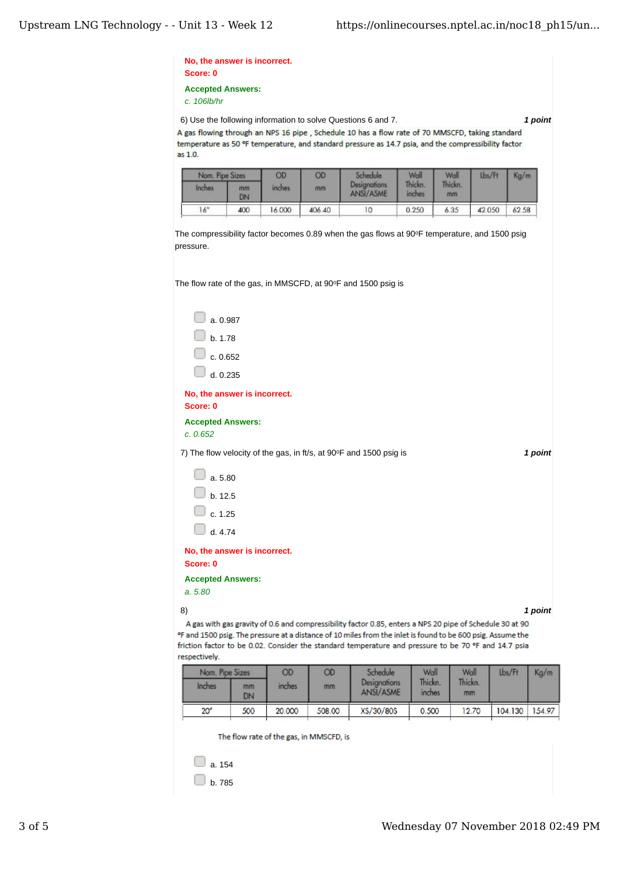| c. 106lb/hr                              | <b>Accepted Answers:</b> |        |        |                                                                                                      |                   |         |        |         |
|------------------------------------------|--------------------------|--------|--------|------------------------------------------------------------------------------------------------------|-------------------|---------|--------|---------|
|                                          |                          |        |        | 6) Use the following information to solve Questions 6 and 7.                                         |                   |         |        | 1 point |
|                                          |                          |        |        | A gas flowing through an NPS 16 pipe, Schedule 10 has a flow rate of 70 MMSCFD, taking standard      |                   |         |        |         |
| as 1.0.                                  |                          |        |        | temperature as 50 °F temperature, and standard pressure as 14.7 psia, and the compressibility factor |                   |         |        |         |
| Nom. Pipe Sizes                          |                          | OD     | OD     | <b>Schedule</b>                                                                                      | Wall              | Wall    | Lbs/Ft | Kg/m    |
| Inches                                   | mm                       | inches | mm     | Designations<br>ANSI/ASME                                                                            | Thickn.<br>inches | Thickn. |        |         |
|                                          | DN                       |        |        |                                                                                                      |                   | mm      |        |         |
| 16"                                      | 400                      | 16.000 | 406.40 | 10                                                                                                   | 0.250             | 6.35    | 42.050 | 62.58   |
| a. 0.987<br>b. 1.78                      |                          |        |        |                                                                                                      |                   |         |        |         |
|                                          | c. 0.652                 |        |        |                                                                                                      |                   |         |        |         |
|                                          |                          |        |        |                                                                                                      |                   |         |        |         |
|                                          | d. 0.235                 |        |        |                                                                                                      |                   |         |        |         |
| No, the answer is incorrect.<br>Score: 0 |                          |        |        |                                                                                                      |                   |         |        |         |
| <b>Accepted Answers:</b><br>c. 0.652     |                          |        |        |                                                                                                      |                   |         |        |         |
|                                          |                          |        |        | 7) The flow velocity of the gas, in ft/s, at 90°F and 1500 psig is                                   |                   |         |        |         |
| a. 5.80                                  |                          |        |        |                                                                                                      |                   |         |        |         |
| b. 12.5                                  |                          |        |        |                                                                                                      |                   |         |        | 1 point |
| c. 1.25                                  |                          |        |        |                                                                                                      |                   |         |        |         |
| d. 4.74                                  |                          |        |        |                                                                                                      |                   |         |        |         |
| No, the answer is incorrect.             |                          |        |        |                                                                                                      |                   |         |        |         |
| Score: 0                                 |                          |        |        |                                                                                                      |                   |         |        |         |
| <b>Accepted Answers:</b>                 |                          |        |        |                                                                                                      |                   |         |        |         |
| a. 5.80                                  |                          |        |        |                                                                                                      |                   |         |        |         |

|                 | Nom. Pipe Sizes |        | OD     |                                  | OD                | Schedule      |         | Wall   | Lbs/Ft | Kg/m |
|-----------------|-----------------|--------|--------|----------------------------------|-------------------|---------------|---------|--------|--------|------|
| Inches          | mm<br>DN        | inches | mm     | <b>Designations</b><br>ANSI/ASME | Thickn.<br>inches | Thickn.<br>mm |         |        |        |      |
| 20 <sup>o</sup> | 500             | 20.000 | 508.00 | XS/30/80S                        | 0.500             | 12.70         | 104.130 | 154.97 |        |      |

The flow rate of the gas, in MMSCFD, is



3 of 5 Wednesday 07 November 2018 02:49 PM